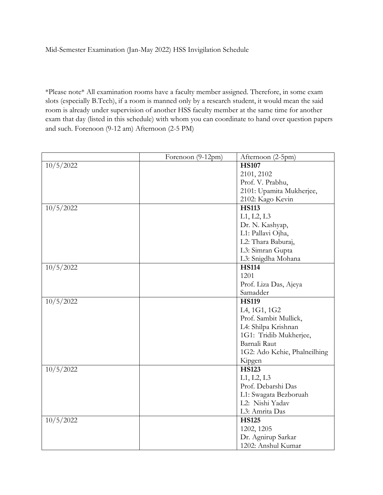Mid-Semester Examination (Jan-May 2022) HSS Invigilation Schedule

\*Please note\* All examination rooms have a faculty member assigned. Therefore, in some exam slots (especially B.Tech), if a room is manned only by a research student, it would mean the said room is already under supervision of another HSS faculty member at the same time for another exam that day (listed in this schedule) with whom you can coordinate to hand over question papers and such. Forenoon (9-12 am) Afternoon (2-5 PM)

|           | Forenoon (9-12pm) | Afternoon (2-5pm)            |
|-----------|-------------------|------------------------------|
| 10/5/2022 |                   | <b>HS107</b>                 |
|           |                   | 2101, 2102                   |
|           |                   | Prof. V. Prabhu,             |
|           |                   | 2101: Upamita Mukherjee,     |
|           |                   | 2102: Kago Kevin             |
| 10/5/2022 |                   | <b>HS113</b>                 |
|           |                   | L1, L2, L3                   |
|           |                   | Dr. N. Kashyap,              |
|           |                   | L1: Pallavi Ojha,            |
|           |                   | L2: Thara Baburaj,           |
|           |                   | L3: Simran Gupta             |
|           |                   | L3: Snigdha Mohana           |
| 10/5/2022 |                   | <b>HS114</b>                 |
|           |                   | 1201                         |
|           |                   | Prof. Liza Das, Ajeya        |
|           |                   | Samadder                     |
| 10/5/2022 |                   | <b>HS119</b>                 |
|           |                   | L4, 1G1, 1G2                 |
|           |                   | Prof. Sambit Mullick,        |
|           |                   | L4: Shilpa Krishnan          |
|           |                   | 1G1: Tridib Mukherjee,       |
|           |                   | Barnali Raut                 |
|           |                   | 1G2: Ado Kehie, Phalneilhing |
|           |                   | Kipgen                       |
| 10/5/2022 |                   | <b>HS123</b>                 |
|           |                   | L1, L2, L3                   |
|           |                   | Prof. Debarshi Das           |
|           |                   | L1: Swagata Bezboruah        |
|           |                   | L2: Nishi Yadav              |
|           |                   | L3: Amrita Das               |
| 10/5/2022 |                   | <b>HS125</b>                 |
|           |                   | 1202, 1205                   |
|           |                   | Dr. Agnirup Sarkar           |
|           |                   | 1202: Anshul Kumar           |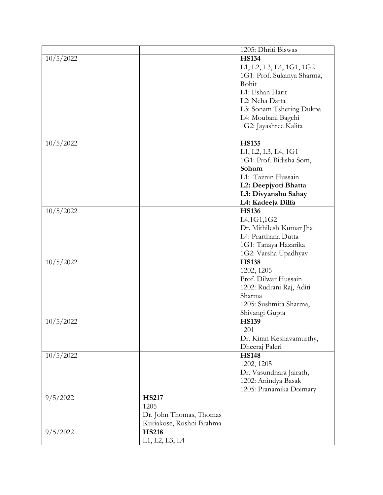|           |                          | 1205: Dhriti Biswas        |
|-----------|--------------------------|----------------------------|
| 10/5/2022 |                          | <b>HS134</b>               |
|           |                          | L1, L2, L3, L4, 1G1, 1G2   |
|           |                          | 1G1: Prof. Sukanya Sharma, |
|           |                          | Rohit                      |
|           |                          | L1: Eshan Harit            |
|           |                          | L2: Neha Datta             |
|           |                          | L3: Sonam Tshering Dukpa   |
|           |                          | L4: Moubani Bagchi         |
|           |                          | 1G2: Jayashree Kalita      |
|           |                          |                            |
| 10/5/2022 |                          | <b>HS135</b>               |
|           |                          | L1, L2, L3, L4, 1G1        |
|           |                          | 1G1: Prof. Bidisha Som,    |
|           |                          | Sohum                      |
|           |                          | L1: Taznin Hussain         |
|           |                          | L2: Deepjyoti Bhatta       |
|           |                          | L3: Divyanshu Sahay        |
|           |                          | L4: Kadeeja Dilfa          |
| 10/5/2022 |                          | <b>HS136</b>               |
|           |                          | L4,1G1,1G2                 |
|           |                          | Dr. Mithilesh Kumar Jha    |
|           |                          | L4: Prarthana Dutta        |
|           |                          | 1G1: Tanaya Hazarika       |
|           |                          | 1G2: Varsha Upadhyay       |
| 10/5/2022 |                          | <b>HS138</b>               |
|           |                          | 1202, 1205                 |
|           |                          | Prof. Dilwar Hussain       |
|           |                          | 1202: Rudrani Raj, Aditi   |
|           |                          | Sharma                     |
|           |                          | 1205: Sushmita Sharma,     |
|           |                          | Shivangi Gupta             |
| 10/5/2022 |                          | <b>HS139</b>               |
|           |                          | 1201                       |
|           |                          | Dr. Kiran Keshavamurthy,   |
|           |                          | Dheeraj Paleri             |
| 10/5/2022 |                          | <b>HS148</b>               |
|           |                          | 1202, 1205                 |
|           |                          | Dr. Vasundhara Jairath,    |
|           |                          | 1202: Anindya Basak        |
|           |                          | 1205: Pranamika Doimary    |
| 9/5/2022  | <b>HS217</b>             |                            |
|           | 1205                     |                            |
|           | Dr. John Thomas, Thomas  |                            |
|           | Kuriakose, Roshni Brahma |                            |
| 9/5/2022  | <b>HS218</b>             |                            |
|           | L1, L2, L3, L4           |                            |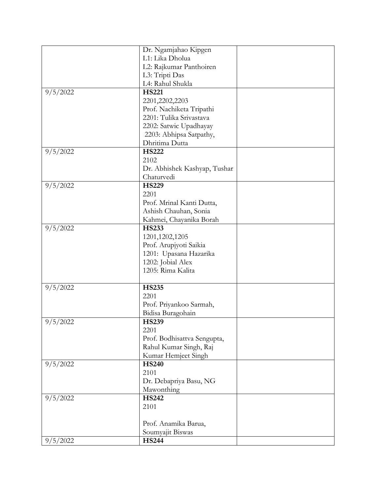|          | Dr. Ngamjahao Kipgen         |  |
|----------|------------------------------|--|
|          | L1: Lika Dholua              |  |
|          |                              |  |
|          | L2: Rajkumar Panthoiren      |  |
|          | L3: Tripti Das               |  |
|          | L4: Rahul Shukla             |  |
| 9/5/2022 | <b>HS221</b>                 |  |
|          | 2201,2202,2203               |  |
|          | Prof. Nachiketa Tripathi     |  |
|          | 2201: Tulika Srivastava      |  |
|          | 2202: Satwic Upadhayay       |  |
|          | 2203: Abhipsa Satpathy,      |  |
|          | Dhritima Dutta               |  |
| 9/5/2022 | <b>HS222</b>                 |  |
|          | 2102                         |  |
|          |                              |  |
|          | Dr. Abhishek Kashyap, Tushar |  |
|          | Chaturvedi                   |  |
| 9/5/2022 | <b>HS229</b>                 |  |
|          | 2201                         |  |
|          | Prof. Mrinal Kanti Dutta,    |  |
|          | Ashish Chauhan, Sonia        |  |
|          | Kahmei, Chayanika Borah      |  |
| 9/5/2022 | <b>HS233</b>                 |  |
|          | 1201, 1202, 1205             |  |
|          | Prof. Arupjyoti Saikia       |  |
|          | 1201: Upasana Hazarika       |  |
|          | 1202: Jobial Alex            |  |
|          | 1205: Rima Kalita            |  |
|          |                              |  |
| 9/5/2022 | <b>HS235</b>                 |  |
|          | 2201                         |  |
|          |                              |  |
|          | Prof. Priyankoo Sarmah,      |  |
|          | Bidisa Buragohain            |  |
| 9/5/2022 | <b>HS239</b>                 |  |
|          | 2201                         |  |
|          | Prof. Bodhisattva Sengupta,  |  |
|          | Rahul Kumar Singh, Raj       |  |
|          | Kumar Hemjeet Singh          |  |
| 9/5/2022 | <b>HS240</b>                 |  |
|          | 2101                         |  |
|          | Dr. Debapriya Basu, NG       |  |
|          | Mawonthing                   |  |
| 9/5/2022 | <b>HS242</b>                 |  |
|          | 2101                         |  |
|          |                              |  |
|          | Prof. Anamika Barua,         |  |
|          |                              |  |
|          | Soumyajit Biswas             |  |
| 9/5/2022 | <b>HS244</b>                 |  |